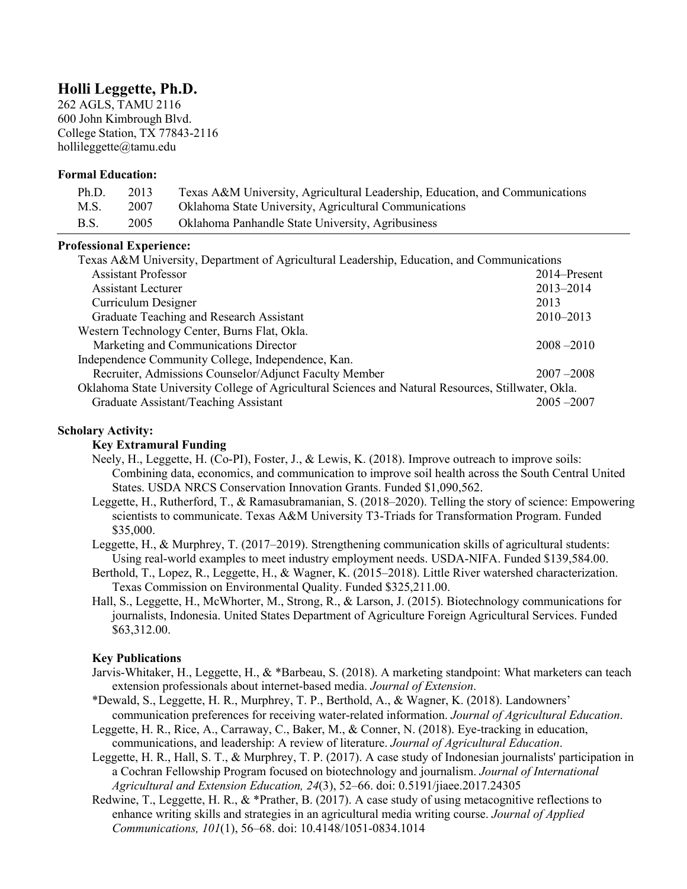# **Holli Leggette, Ph.D.**

262 AGLS, TAMU 2116 600 John Kimbrough Blvd. College Station, TX 77843-2116 hollileggette@tamu.edu

#### **Formal Education:**

| Ph.D.       | 2013 | Texas A&M University, Agricultural Leadership, Education, and Communications |
|-------------|------|------------------------------------------------------------------------------|
| M.S.        | 2007 | Oklahoma State University, Agricultural Communications                       |
| <b>B.S.</b> | 2005 | Oklahoma Panhandle State University, Agribusiness                            |

#### **Professional Experience:**

| Texas A&M University, Department of Agricultural Leadership, Education, and Communications          |               |  |
|-----------------------------------------------------------------------------------------------------|---------------|--|
| <b>Assistant Professor</b>                                                                          | 2014–Present  |  |
| Assistant Lecturer                                                                                  | 2013-2014     |  |
| Curriculum Designer                                                                                 | 2013          |  |
| Graduate Teaching and Research Assistant                                                            | $2010 - 2013$ |  |
| Western Technology Center, Burns Flat, Okla.                                                        |               |  |
| Marketing and Communications Director                                                               | $2008 - 2010$ |  |
| Independence Community College, Independence, Kan.                                                  |               |  |
| Recruiter, Admissions Counselor/Adjunct Faculty Member                                              | $2007 - 2008$ |  |
| Oklahoma State University College of Agricultural Sciences and Natural Resources, Stillwater, Okla. |               |  |
| Graduate Assistant/Teaching Assistant                                                               | $2005 - 2007$ |  |

# **Scholary Activity:**

#### **Key Extramural Funding**

- Neely, H., Leggette, H. (Co-PI), Foster, J., & Lewis, K. (2018). Improve outreach to improve soils: Combining data, economics, and communication to improve soil health across the South Central United States. USDA NRCS Conservation Innovation Grants. Funded \$1,090,562.
- Leggette, H., Rutherford, T., & Ramasubramanian, S. (2018–2020). Telling the story of science: Empowering scientists to communicate. Texas A&M University T3-Triads for Transformation Program. Funded \$35,000.
- Leggette, H., & Murphrey, T. (2017–2019). Strengthening communication skills of agricultural students: Using real-world examples to meet industry employment needs. USDA-NIFA. Funded \$139,584.00.
- Berthold, T., Lopez, R., Leggette, H., & Wagner, K. (2015–2018). Little River watershed characterization. Texas Commission on Environmental Quality. Funded \$325,211.00.
- Hall, S., Leggette, H., McWhorter, M., Strong, R., & Larson, J. (2015). Biotechnology communications for journalists, Indonesia. United States Department of Agriculture Foreign Agricultural Services. Funded \$63,312.00.

## **Key Publications**

- Jarvis-Whitaker, H., Leggette, H., & \*Barbeau, S. (2018). A marketing standpoint: What marketers can teach extension professionals about internet-based media. *Journal of Extension*.
- \*Dewald, S., Leggette, H. R., Murphrey, T. P., Berthold, A., & Wagner, K. (2018). Landowners' communication preferences for receiving water-related information. *Journal of Agricultural Education*.
- Leggette, H. R., Rice, A., Carraway, C., Baker, M., & Conner, N. (2018). Eye-tracking in education, communications, and leadership: A review of literature. *Journal of Agricultural Education*.
- Leggette, H. R., Hall, S. T., & Murphrey, T. P. (2017). A case study of Indonesian journalists' participation in a Cochran Fellowship Program focused on biotechnology and journalism. *Journal of International Agricultural and Extension Education, 24*(3), 52–66. doi: 0.5191/jiaee.2017.24305
- Redwine, T., Leggette, H. R., & \*Prather, B. (2017). A case study of using metacognitive reflections to enhance writing skills and strategies in an agricultural media writing course. *Journal of Applied Communications, 101*(1), 56–68. doi: 10.4148/1051-0834.1014